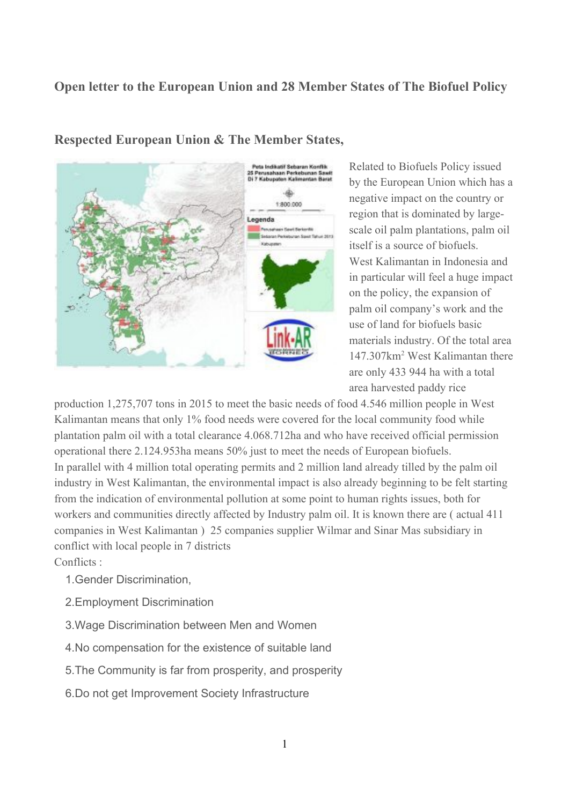## **Open letter to the European Union and 28 Member States of The Biofuel Policy**



**Respected European Union & The Member States,**

Related to Biofuels Policy issued by the European Union which has a negative impact on the country or region that is dominated by largescale oil palm plantations, palm oil itself is a source of biofuels. West Kalimantan in Indonesia and in particular will feel a huge impact on the policy, the expansion of palm oil company's work and the use of land for biofuels basic materials industry. Of the total area 147.307km<sup>2</sup> West Kalimantan there are only 433 944 ha with a total area harvested paddy rice

production 1,275,707 tons in 2015 to meet the basic needs of food 4.546 million people in West Kalimantan means that only 1% food needs were covered for the local community food while plantation palm oil with a total clearance 4.068.712ha and who have received official permission operational there 2.124.953ha means 50% just to meet the needs of European biofuels. In parallel with 4 million total operating permits and 2 million land already tilled by the palm oil industry in West Kalimantan, the environmental impact is also already beginning to be felt starting from the indication of environmental pollution at some point to human rights issues, both for workers and communities directly affected by Industry palm oil. It is known there are ( actual 411 companies in West Kalimantan ) 25 companies supplier Wilmar and Sinar Mas subsidiary in conflict with local people in 7 districts Conflicts ·

- 1.Gender Discrimination,
- 2.Employment Discrimination
- 3.Wage Discrimination between Men and Women
- 4.No compensation for the existence of suitable land
- 5.The Community is far from prosperity, and prosperity
- 6.Do not get Improvement Society Infrastructure